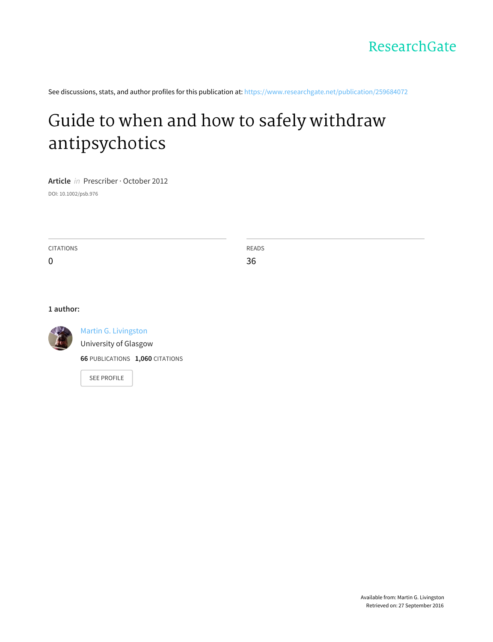See discussions, stats, and author profiles for this publication at: [https://www.researchgate.net/publication/259684072](https://www.researchgate.net/publication/259684072_Guide_to_when_and_how_to_safely_withdraw_antipsychotics?enrichId=rgreq-e44f5536aad673525dc61f137482faf1-XXX&enrichSource=Y292ZXJQYWdlOzI1OTY4NDA3MjtBUzoxNjA4OTI1MzY3NjIzNjlAMTQxNTM3MTE3ODk2MQ%3D%3D&el=1_x_2)

# Guide to when and how to safely withdraw [antipsychotics](https://www.researchgate.net/publication/259684072_Guide_to_when_and_how_to_safely_withdraw_antipsychotics?enrichId=rgreq-e44f5536aad673525dc61f137482faf1-XXX&enrichSource=Y292ZXJQYWdlOzI1OTY4NDA3MjtBUzoxNjA4OTI1MzY3NjIzNjlAMTQxNTM3MTE3ODk2MQ%3D%3D&el=1_x_3)

**Article** in Prescriber · October 2012

DOI: 10.1002/psb.976

CITATIONS 0 READS 36

### **1 author:**



Martin G. [Livingston](https://www.researchgate.net/profile/Martin_Livingston?enrichId=rgreq-e44f5536aad673525dc61f137482faf1-XXX&enrichSource=Y292ZXJQYWdlOzI1OTY4NDA3MjtBUzoxNjA4OTI1MzY3NjIzNjlAMTQxNTM3MTE3ODk2MQ%3D%3D&el=1_x_5)

[University](https://www.researchgate.net/institution/University_of_Glasgow?enrichId=rgreq-e44f5536aad673525dc61f137482faf1-XXX&enrichSource=Y292ZXJQYWdlOzI1OTY4NDA3MjtBUzoxNjA4OTI1MzY3NjIzNjlAMTQxNTM3MTE3ODk2MQ%3D%3D&el=1_x_6) of Glasgow

**66** PUBLICATIONS **1,060** CITATIONS

SEE [PROFILE](https://www.researchgate.net/profile/Martin_Livingston?enrichId=rgreq-e44f5536aad673525dc61f137482faf1-XXX&enrichSource=Y292ZXJQYWdlOzI1OTY4NDA3MjtBUzoxNjA4OTI1MzY3NjIzNjlAMTQxNTM3MTE3ODk2MQ%3D%3D&el=1_x_7)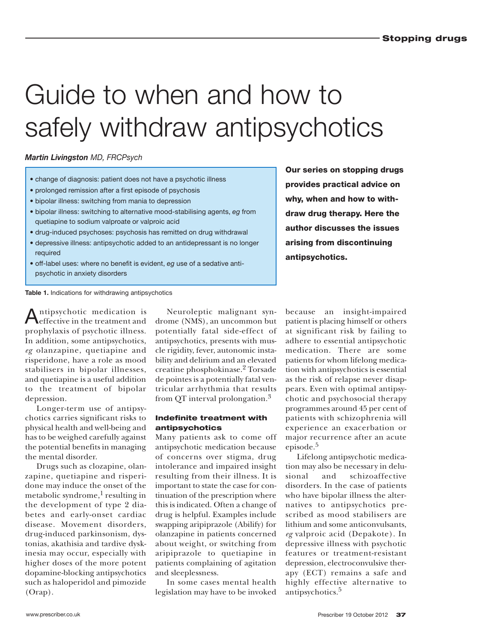# Guide to when and how to safely withdraw antipsychotics

#### *Martin Livingston MD, FRCPsych*

- change of diagnosis: patient does not have a psychotic illness
- prolonged remission after a first episode of psychosis
- bipolar illness: switching from mania to depression
- bipolar illness: switching to alternative mood-stabilising agents, *eg* from quetiapine to sodium valproate or valproic acid
- drug-induced psychoses: psychosis has remitted on drug withdrawal
- depressive illness: antipsychotic added to an antidepressant is no longer required
- off-label uses: where no benefit is evident, *eg* use of a sedative antipsychotic in anxiety disorders

**Table 1.** Indications for withdrawing antipsychotics

Antipsychotic medication is effective in the treatment and prophylaxis of psychotic illness. In addition, some antipsychotics, *eg* olanzapine, quetiapine and risperidone, have a role as mood stabilisers in bipolar illnesses, and quetiapine is a useful addition to the treatment of bipolar depression.

Longer-term use of antipsychotics carries significant risks to physical health and well-being and has to be weighed carefully against the potential benefits in managing the mental disorder.

Drugs such as clozapine, olanzapine, quetiapine and risperidone may induce the onset of the metabolic syndrome. $^{\rm 1}$  resulting in the development of type 2 diabetes and early-onset cardiac disease. Movement disorders, drug-induced parkinsonism, dystonias, akathisia and tardive dyskinesia may occur, especially with higher doses of the more potent dopamine-blocking antipsychotics such as haloperidol and pimozide (Orap).

Neuroleptic malignant syndrome (NMS), an uncommon but potentially fatal side-effect of antipsychotics, presents with muscle rigidity, fever, autonomic instability and delirium and an elevated creatine phosphokinase. 2 Torsade de pointes is a potentially fatal ventricular arrhythmia that results from OT interval prolongation.<sup>3</sup>

#### **Indefinite treatment with antipsychotics**

Many patients ask to come off antipsychotic medication because of concerns over stigma, drug intolerance and impaired insight resulting from their illness. It is important to state the case for continuation of the prescription where this is indicated. Often a change of drug is helpful. Examples include swapping aripiprazole (Abilify) for olanzapine in patients concerned about weight, or switching from aripiprazole to quetiapine in patients complaining of agitation and sleeplessness.

In some cases mental health legislation may have to be invoked

because an insight-impaired patient is placing himself or others at significant risk by failing to adhere to essential antipsychotic medication. There are some patients for whom lifelong medication with antipsychotics is essential as the risk of relapse never disappears. Even with optimal antipsychotic and psychosocial therapy programmes around 45 per cent of patients with schizophrenia will experience an exacerbation or major recurrence after an acute episode. 5

**Our series on stopping drugs provides practical advice on why, when and how to withdraw drug therapy. Here the author discusses the issues arising from discontinuing**

**antipsychotics.**

Lifelong antipsychotic medication may also be necessary in delusional and schizoaffective disorders. In the case of patients who have bipolar illness the alternatives to antipsychotics prescribed as mood stabilisers are lithium and some anticonvulsants, *eg* valproic acid (Depakote). In depressive illness with psychotic features or treatment-resistant depression, electroconvulsive therapy (ECT) remains a safe and highly effective alternative to antipsychotics. 5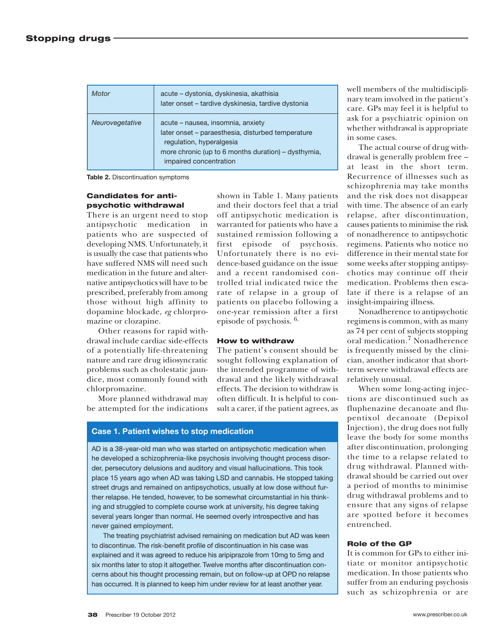| Motor           | acute – dystonia, dyskinesia, akathisia<br>later onset - tardive dyskinesia, tardive dystonia                                                                                                       |
|-----------------|-----------------------------------------------------------------------------------------------------------------------------------------------------------------------------------------------------|
| Neurovegetative | acute - nausea, insomnia, anxiety<br>later onset – paraesthesia, disturbed temperature<br>regulation, hyperalgesia<br>more chronic (up to 6 months duration) - dysthymia,<br>impaired concentration |

shown in Table 1. Many patients and their doctors feel that a trial off antipsychotic medication is warranted for patients who have a sustained remission following a first episode of psychosis. Unfortunately there is no evidence-based guidance on the issue and a recent randomised controlled trial indicated twice the rate of relapse in a group of patients on placebo following a one-year remission after a first

episode of psychosis. 6.

**How to withdraw**

The patient's consent should be sought following explanation of the intended programme of withdrawal and the likely withdrawal effects. The decision to withdraw is often difficult. It is helpful to consult a carer, if the patient agrees, as

**Table 2.** Discontinuation symptoms

#### **Candidates for antipsychotic withdrawal**

There is an urgent need to stop antipsychotic medication in patients who are suspected of developing NMS. Unfortunately, it is usually the case that patients who have suffered NMS will need such medication in the future and alternative antipsychotics will have to be prescribed, preferably from among those without high affinity to dopamine blockade, *eg* chlorpromazine or clozapine.

Other reasons for rapid withdrawal include cardiac side-effects of a potentially life-threatening nature and rare drug idiosyncratic problems such as cholestatic jaundice, most commonly found with chlorpromazine.

More planned withdrawal may be attempted for the indications

**Case 1. Patient wishes to stop medication**

AD is a 38-year-old man who was started on antipsychotic medication when he developed a schizophrenia-like psychosis involving thought process disorder, persecutory delusions and auditory and visual hallucinations. This took place 15 years ago when AD was taking LSD and cannabis. He stopped taking street drugs and remained on antipsychotics, usually at low dose without further relapse. He tended, however, to be somewhat circumstantial in his thinking and struggled to complete course work at university, his degree taking several years longer than normal. He seemed overly introspective and has never gained employment.

 The treating psychiatrist advised remaining on medication but AD was keen to discontinue. The risk-benefit profile of discontinuation in his case was explained and it was agreed to reduce his aripiprazole from 10mg to 5mg and six months later to stop it altogether. Twelve months after discontinuation concerns about his thought processing remain, but on follow-up at OPD no relapse has occurred. It is planned to keep him under review for at least another year.

well members of the multidisciplinary team involved in the patient's care. GPs may feel it is helpful to ask for a psychiatric opinion on whether withdrawal is appropriate in some cases.

The actual course of drug withdrawal is generally problem free – at least in the short term. Recurrence of illnesses such as schizophrenia may take months and the risk does not disappear with time. The absence of an early relapse, after discontinuation, causes patients to minimise the risk of nonadherence to antipsychotic regimens. Patients who notice no difference in their mental state for some weeks after stopping antipsychotics may continue off their medication. Problems then escalate if there is a relapse of an insight-impairing illness.

Nonadherence to antipsychotic regimens is common, with as many as 74 per cent of subjects stopping oral medication. 7 Nonadherence is frequently missed by the clinician, another indicator that shortterm severe withdrawal effects are relatively unusual.

When some long-acting injections are discontinued such as fluphenazine decanoate and flupentixol decanoate (Depixol Injection), the drug does not fully leave the body for some months after discontinuation, prolonging the time to a relapse related to drug withdrawal. Planned withdrawal should be carried out over a period of months to minimise drug withdrawal problems and to ensure that any signs of relapse are spotted before it becomes entrenched.

#### **Role of the GP**

It is common for GPs to either initiate or monitor antipsychotic medication. In those patients who suffer from an enduring psychosis such as schizophrenia or are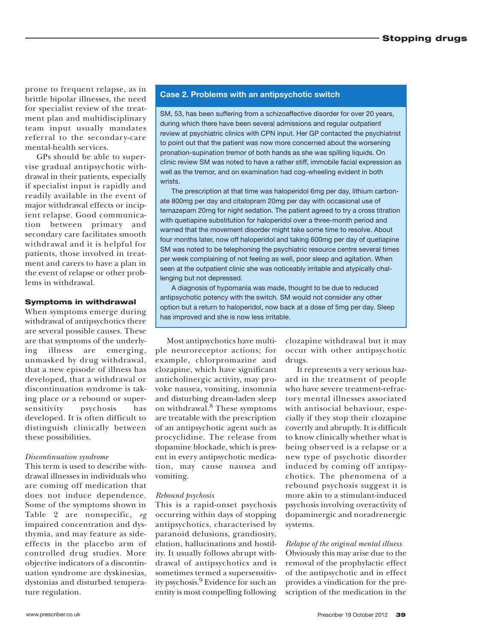prone to frequent relapse, as in brittle bipolar illnesses, the need for specialist review of the treatment plan and multidisciplinary team input usually mandates referral to the secondary-care mental-health services.

GPs should be able to supervise gradual antipsychotic withdrawal in their patients, especially if specialist input is rapidly and readily available in the event of major withdrawal effects or incipient relapse. Good communication between primary and secondary care facilitates smooth withdrawal and it is helpful for patients, those involved in treatment and carers to have a plan in the event of relapse or other problems in withdrawal.

#### **Symptoms in withdrawal**

When symptoms emerge during withdrawal of antipsychotics there are several possible causes. These are that symptoms of the underlying illness are emerging, unmasked by drug withdrawal, that a new episode of illness has developed, that a withdrawal or discontinuation syndrome is taking place or a rebound or supersensitivity psychosis has developed. It is often difficult to distinguish clinically between these possibilities.

#### *Discontinuation syndrome*

This term is used to describe withdrawal illnesses in individuals who are coming off medication that does not induce dependence. Some of the symptoms shown in Table 2 are nonspecific, *eg* impaired concentration and dysthymia, and may feature as sideeffects in the placebo arm of controlled drug studies. More objective indicators of a discontinuation syndrome are dyskinesias, dystonias and disturbed temperature regulation.

#### **Case 2. Problems with an antipsychotic switch**

SM, 53, has been suffering from a schizoaffective disorder for over 20 years, during which there have been several admissions and regular outpatient review at psychiatric clinics with CPN input. Her GP contacted the psychiatrist to point out that the patient was now more concerned about the worsening pronation-supination tremor of both hands as she was spilling liquids. On clinic review SM was noted to have a rather stiff, immobile facial expression as well as the tremor, and on examination had cog-wheeling evident in both wrists.

 The prescription at that time was haloperidol 6mg per day, lithium carbonate 800mg per day and citalopram 20mg per day with occasional use of temazepam 20mg for night sedation. The patient agreed to try a cross titration with quetiapine substitution for haloperidol over a three-month period and warned that the movement disorder might take some time to resolve. About four months later, now off haloperidol and taking 600mg per day of quetiapine SM was noted to be telephoning the psychiatric resource centre several times per week complaining of not feeling as well, poor sleep and agitation. When seen at the outpatient clinic she was noticeably irritable and atypically challenging but not depressed.

 A diagnosis of hypomania was made, thought to be due to reduced antipsychotic potency with the switch. SM would not consider any other option but a return to haloperidol, now back at a dose of 5mg per day. Sleep has improved and she is now less irritable.

Most antipsychotics have multiple neuroreceptor actions; for example, chlorpromazine and clozapine, which have significant anticholinergic activity, may provoke nausea, vomiting, insomnia and disturbing dream-laden sleep on withdrawal. 8 These symptoms are treatable with the prescription of an antipsychotic agent such as procyclidine. The release from dopamine blockade, which is present in every antipsychotic medication, may cause nausea and vomiting.

#### *Rebound psychosis*

This is a rapid-onset psychosis occurring within days of stopping antipsychotics, characterised by paranoid delusions, grandiosity, elation, hallucinations and hostility. It usually follows abrupt withdrawal of antipsychotics and is sometimes termed a supersensitivity psychosis. 9 Evidence for such an entity is most compelling following

clozapine withdrawal but it may occur with other antipsychotic drugs.

It represents a very serious hazard in the treatment of people who have severe treatment-refractory mental illnesses associated with antisocial behaviour, especially if they stop their clozapine covertly and abruptly. It is difficult to know clinically whether what is being obser ved is a relapse or a new type of psychotic disorder induced by coming off antipsychotics. The phenomena of a rebound psychosis suggest it is more akin to a stimulant-induced psychosis involving overactivity of dopaminergic and noradrenergic systems.

## *Relapse of the original mental illness*

Obviously this may arise due to the removal of the prophylactic effect of the antipsychotic and in effect provides a vindication for the prescription of the medication in the